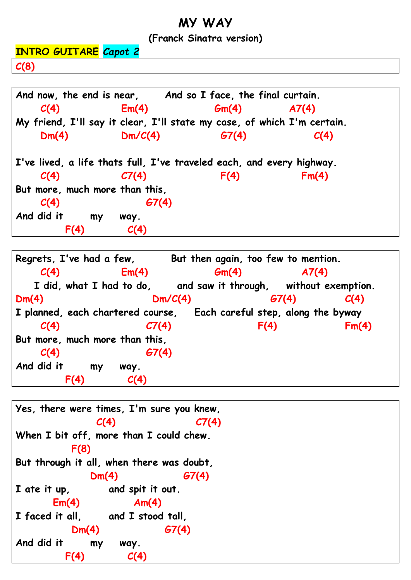## **MY WAY**

## **(Franck Sinatra version)**

**INTRO GUITARE** *Capot 2* **C(8)**



**Regrets, I've had a few, But then again, too few to mention. C(4) Em(4) Gm(4) A7(4) I did, what I had to do, and saw it through, without exemption. Dm(4) Dm/C(4) G7(4) C(4) I planned, each chartered course, Each careful step, along the byway C(4) C7(4) F(4) Fm(4) But more, much more than this, C(4) G7(4) And did it my way. F(4) C(4)**